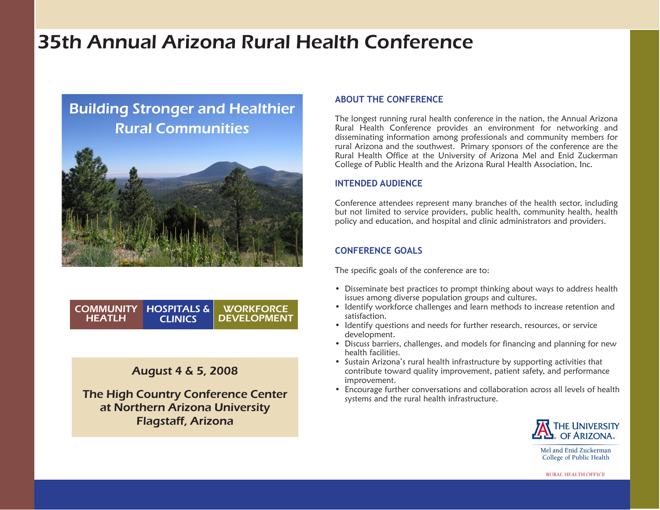# 35th Annual Arizona Rural Health Conference

## Building Stronger and Healthier Rural Communities



COMMUNITY | HOSPITALS & CLINICS **HEATLH WORKFORCE** DEVELOPMENT

## August 4 & 5, 2008

The High Country Conference Center at Northern Arizona University Flagstaff, Arizona

#### **ABOUT THE CONFERENCE**

The longest running rural health conference in the nation, the Annual Arizona Rural Health Conference provides an environment for networking and disseminating information among professionals and community members for rural Arizona and the southwest. Primary sponsors of the conference are the Rural Health Office at the University of Arizona Mel and Enid Zuckerman College of Public Health and the Arizona Rural Health Association, Inc.

## **INTENDED AUDIENCE**

Conference attendees represent many branches of the health sector, including but not limited to service providers, public health, community health, health policy and education, and hospital and clinic administrators and providers.

## **CONFERENCE GOALS**

The specific goals of the conference are to:

- Disseminate best practices to prompt thinking about ways to address health issues among diverse population groups and cultures.
- Identify workforce challenges and learn methods to increase retention and satisfaction.
- Identify questions and needs for further research, resources, or service development.
- Discuss barriers, challenges, and models for financing and planning for new health facilities.
- Sustain Arizona's rural health infrastructure by supporting activities that contribute toward quality improvement, patient safety, and performance improvement.
- Encourage further conversations and collaboration across all levels of health systems and the rural health infrastructure.



Mel and Enid Zuckerman College of Public Health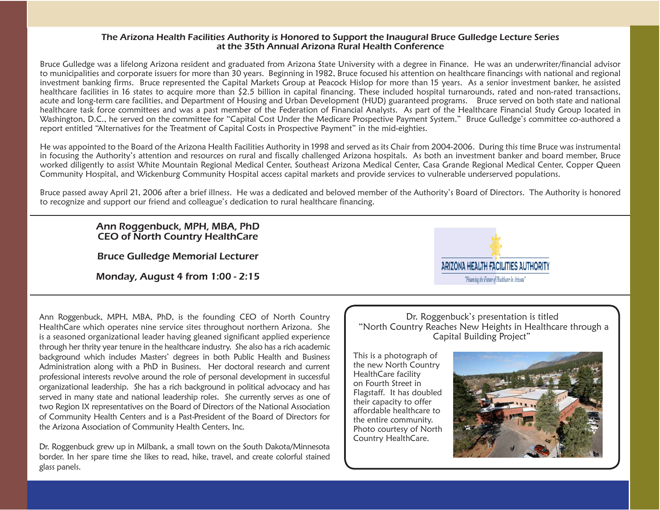#### The Arizona Health Facilities Authority is Honored to Support the Inaugural Bruce Gulledge Lecture Series at the 35th Annual Arizona Rural Health Conference

Bruce Gulledge was a lifelong Arizona resident and graduated from Arizona State University with a degree in Finance. He was an underwriter/financial advisor to municipalities and corporate issuers for more than 30 years. Beginning in 1982, Bruce focused his attention on healthcare financings with national and regional investment banking firms. Bruce represented the Capital Markets Group at Peacock Hislop for more than 15 years. As a senior investment banker, he assisted healthcare facilities in 16 states to acquire more than \$2.5 billion in capital financing. These included hospital turnarounds, rated and non-rated transactions, acute and long-term care facilities, and Department of Housing and Urban Development (HUD) guaranteed programs. Bruce served on both state and national healthcare task force committees and was a past member of the Federation of Financial Analysts. As part of the Healthcare Financial Study Group located in Washington, D.C., he served on the committee for "Capital Cost Under the Medicare Prospective Payment System." Bruce Gulledge's committee co-authored a report entitled "Alternatives for the Treatment of Capital Costs in Prospective Payment" in the mid-eighties.

He was appointed to the Board of the Arizona Health Facilities Authority in 1998 and served as its Chair from 2004-2006. During this time Bruce was instrumental in focusing the Authority's attention and resources on rural and fiscally challenged Arizona hospitals. As both an investment banker and board member, Bruce worked diligently to assist White Mountain Regional Medical Center, Southeast Arizona Medical Center, Casa Grande Regional Medical Center, Copper Queen Community Hospital, and Wickenburg Community Hospital access capital markets and provide services to vulnerable underserved populations.

Bruce passed away April 21, 2006 after a brief illness. He was a dedicated and beloved member of the Authority's Board of Directors. The Authority is honored to recognize and support our friend and colleague's dedication to rural healthcare financing.

#### Ann Roggenbuck, MPH, MBA, PhD CEO of North Country HealthCare

Bruce Gulledge Memorial Lecturer

Monday, August 4 from 1:00 - 2:15



Ann Roggenbuck, MPH, MBA, PhD, is the founding CEO of North Country HealthCare which operates nine service sites throughout northern Arizona. She is a seasoned organizational leader having gleaned significant applied experience through her thrity year tenure in the healthcare industry. She also has a rich academic background which includes Masters' degrees in both Public Health and Business Administration along with a PhD in Business. Her doctoral research and current professional interests revolve around the role of personal development in successful organizational leadership. She has a rich background in political advocacy and has served in many state and national leadership roles. She currently serves as one of two Region IX representatives on the Board of Directors of the National Association of Community Health Centers and is a Past-President of the Board of Directors for the Arizona Association of Community Health Centers, Inc.

Dr. Roggenbuck grew up in Milbank, a small town on the South Dakota/Minnesota border. In her spare time she likes to read, hike, travel, and create colorful stained glass panels.

Dr. Roggenbuck's presentation is titled "North Country Reaches New Heights in Healthcare through a Capital Building Project"

This is a photograph of the new North Country HealthCare facility on Fourth Street in Flagstaff. It has doubled their capacity to offer affordable healthcare to the entire community. Photo courtesy of North Country HealthCare.

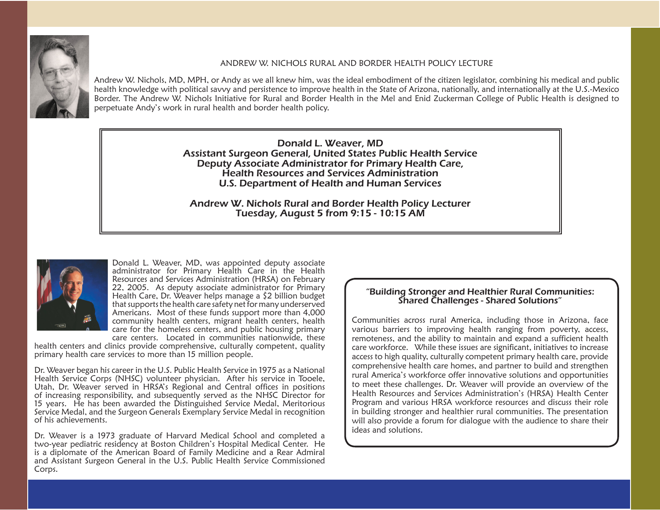

#### ANDREW W. NICHOLS RURAL AND BORDER HEALTH POLICY LECTURE

Andrew W. Nichols, MD, MPH, or Andy as we all knew him, was the ideal embodiment of the citizen legislator, combining his medical and public health knowledge with political savvy and persistence to improve health in the State of Arizona, nationally, and internationally at the U.S.-Mexico Border. The Andrew W. Nichols Initiative for Rural and Border Health in the Mel and Enid Zuckerman College of Public Health is designed to perpetuate Andy's work in rural health and border health policy.

> Donald L. Weaver, MD Assistant Surgeon General, United States Public Health Service Deputy Associate Administrator for Primary Health Care, Health Resources and Services Administration U.S. Department of Health and Human Services

Andrew W. Nichols Rural and Border Health Policy Lecturer Tuesday, August 5 from 9:15 - 10:15 AM



Donald L. Weaver, MD, was appointed deputy associate administrator for Primary Health Care in the Health Resources and Services Administration (HRSA) on February 22, 2005. As deputy associate administrator for Primary Health Care, Dr. Weaver helps manage a \$2 billion budget that supports the health care safety net for many underserved Americans. Most of these funds support more than 4,000 community health centers, migrant health centers, health care for the homeless centers, and public housing primary care centers. Located in communities nationwide, these

health centers and clinics provide comprehensive, culturally competent, quality primary health care services to more than 15 million people.

Dr. Weaver began his career in the U.S. Public Health Service in 1975 as a National Health Service Corps (NHSC) volunteer physician. After his service in Tooele, Utah, Dr. Weaver served in HRSA's Regional and Central offices in positions of increasing responsibility, and subsequently served as the NHSC Director for 15 years. He has been awarded the Distinguished Service Medal, Meritorious Service Medal, and the Surgeon Generals Exemplary Service Medal in recognition of his achievements.

Dr. Weaver is a 1973 graduate of Harvard Medical School and completed a two-year pediatric residency at Boston Children's Hospital Medical Center. He is a diplomate of the American Board of Family Medicine and a Rear Admiral and Assistant Surgeon General in the U.S. Public Health Service Commissioned Corps.

#### "Building Stronger and Healthier Rural Communities: Shared Challenges - Shared Solutions"

Communities across rural America, including those in Arizona, face various barriers to improving health ranging from poverty, access, remoteness, and the ability to maintain and expand a sufficient health care workforce. While these issues are significant, initiatives to increase access to high quality, culturally competent primary health care, provide comprehensive health care homes, and partner to build and strengthen rural America's workforce offer innovative solutions and opportunities to meet these challenges. Dr. Weaver will provide an overview of the Health Resources and Services Administration's (HRSA) Health Center Program and various HRSA workforce resources and discuss their role in building stronger and healthier rural communities. The presentation will also provide a forum for dialogue with the audience to share their ideas and solutions.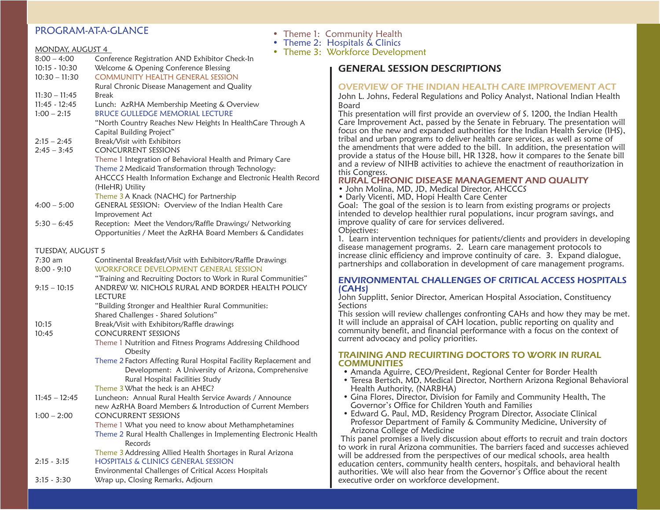## PROGRAM-AT-A-GLANCE

| <b>MONDAY, AUGUST 4</b>        | Theme Z:<br>Theme 3:<br>۰                                                                                          |
|--------------------------------|--------------------------------------------------------------------------------------------------------------------|
| $8:00 - 4:00$                  | Conference Registration AND Exhibitor Check-In                                                                     |
| $10:15 - 10:30$                | Welcome & Opening Conference Blessing                                                                              |
| $10:30 - 11:30$                | <b>COMMUNITY HEALTH GENERAL SESSION</b>                                                                            |
|                                | Rural Chronic Disease Management and Quality                                                                       |
| $11:30 - 11:45$                | Break                                                                                                              |
| $11:45 - 12:45$                | Lunch: AzRHA Membership Meeting & Overview                                                                         |
| $1:00 - 2:15$                  | <b>BRUCE GULLEDGE MEMORIAL LECTURE</b>                                                                             |
|                                | "North Country Reaches New Heights In HealthCare Through A                                                         |
|                                | Capital Building Project"                                                                                          |
| $2:15 - 2:45$                  | Break/Visit with Exhibitors                                                                                        |
| $2:45 - 3:45$                  | <b>CONCURRENT SESSIONS</b>                                                                                         |
|                                | Theme 1 Integration of Behavioral Health and Primary Care                                                          |
|                                | Theme 2 Medicaid Transformation through Technology:                                                                |
|                                | AHCCCS Health Information Exchange and Electronic Health Record                                                    |
|                                | (HleHR) Utility                                                                                                    |
|                                | Theme 3 A Knack (NACHC) for Partnership                                                                            |
| $4:00 - 5:00$                  | GENERAL SESSION: Overview of the Indian Health Care                                                                |
|                                | Improvement Act                                                                                                    |
| $5:30 - 6:45$                  | Reception: Meet the Vendors/Raffle Drawings/ Networking                                                            |
|                                | Opportunities / Meet the AzRHA Board Members & Candidates                                                          |
|                                |                                                                                                                    |
| TUESDAY, AUGUST 5<br>$7:30$ am | Continental Breakfast/Visit with Exhibitors/Raffle Drawings                                                        |
| $8:00 - 9:10$                  | WORKFORCE DEVELOPMENT GENERAL SESSION                                                                              |
|                                |                                                                                                                    |
| $9:15 - 10:15$                 | "Training and Recruiting Doctors to Work in Rural Communities"<br>ANDREW W. NICHOLS RURAL AND BORDER HEALTH POLICY |
|                                | <b>LECTURE</b>                                                                                                     |
|                                | "Building Stronger and Healthier Rural Communities:                                                                |
|                                | Shared Challenges - Shared Solutions"                                                                              |
| 10:15                          | Break/Visit with Exhibitors/Raffle drawings                                                                        |
| 10:45                          | <b>CONCURRENT SESSIONS</b>                                                                                         |
|                                | Theme 1 Nutrition and Fitness Programs Addressing Childhood                                                        |
|                                | Obesity                                                                                                            |
|                                | Theme 2 Factors Affecting Rural Hospital Facility Replacement and                                                  |
|                                | Development: A University of Arizona, Comprehensive                                                                |
|                                | Rural Hospital Facilities Study                                                                                    |
|                                | Theme 3 What the heck is an AHEC?                                                                                  |
| $11:45 - 12:45$                | Luncheon: Annual Rural Health Service Awards / Announce                                                            |
|                                | new AzRHA Board Members & Introduction of Current Members                                                          |
| $1:00 - 2:00$                  | CONCURRENT SESSIONS                                                                                                |
|                                | Theme 1 What you need to know about Methamphetamines                                                               |
|                                | Theme 2 Rural Health Challenges in Implementing Electronic Health                                                  |
|                                | Records                                                                                                            |
|                                | Theme 3 Addressing Allied Health Shortages in Rural Arizona                                                        |
| $2:15 - 3:15$                  | <b>HOSPITALS &amp; CLINICS GENERAL SESSION</b>                                                                     |
|                                | Environmental Challenges of Critical Access Hospitals                                                              |
| $3:15 - 3:30$                  | Wrap up, Closing Remarks, Adjourn                                                                                  |

|  |  |  | • Theme 1: Community Health |  |  |
|--|--|--|-----------------------------|--|--|
|--|--|--|-----------------------------|--|--|

• Theme 2: Hospitals & Clinics

Workforce Development

## GENERAL SESSION DESCRIPTIONS

#### OVERVIEW OF THE INDIAN HEALTH CARE IMPROVEMENT ACT

John L. Johns, Federal Regulations and Policy Analyst, National Indian Health Board

This presentation will first provide an overview of S. 1200, the Indian Health Care Improvement Act, passed by the Senate in February. The presentation will focus on the new and expanded authorities for the Indian Health Service (IHS), tribal and urban programs to deliver health care services, as well as some of the amendments that were added to the bill. In addition, the presentation will provide a status of the House bill, HR 1328, how it compares to the Senate bill and a review of NIHB activities to achieve the enactment of reauthorization in this Congress.

#### RURAL CHRONIC DISEASE MANAGEMENT AND QUALITY

- John Molina, MD, JD, Medical Director, AHCCCS
- Darly Vicenti, MD, Hopi Health Care Center

Goal: The goal of the session is to learn from existing programs or projects intended to develop healthier rural populations, incur program savings, and improve quality of care for services delivered.

Objectives:

1. Learn intervention techniques for patients/clients and providers in developing disease management programs. 2. Learn care management protocols to increase clinic efficiency and improve continuity of care. 3. Expand dialogue, partnerships and collaboration in development of care management programs.

#### ENVIRONMENTAL CHALLENGES OF CRITICAL ACCESS HOSPITALS (CAHs)

John Supplitt, Senior Director, American Hospital Association, Constituency **Sections** 

This session will review challenges confronting CAHs and how they may be met. It will include an appraisal of CAH location, public reporting on quality and community benefit, and financial performance with a focus on the context of current advocacy and policy priorities.

#### TRAINING AND RECUIRTING DOCTORS TO WORK IN RURAL **COMMUNITIES**

- Amanda Aguirre, CEO/President, Regional Center for Border Health
- Teresa Bertsch, MD, Medical Director, Northern Arizona Regional Behavioral Health Authority, (NARBHA)
- Gina Flores, Director, Division for Family and Community Health, The Governor's Office for Children Youth and Families
- Edward G. Paul, MD, Residency Program Director, Associate Clinical Professor Department of Family & Community Medicine, University of Arizona College of Medicine

 This panel promises a lively discussion about efforts to recruit and train doctors to work in rural Arizona communities. The barriers faced and successes achieved will be addressed from the perspectives of our medical schools, area health education centers, community health centers, hospitals, and behavioral health authorities. We will also hear from the Governor's Office about the recent executive order on workforce development.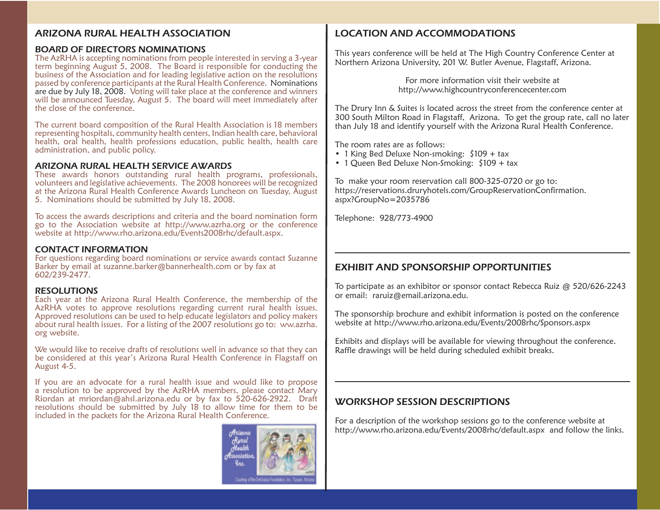## ARIZONA RURAL HEALTH ASSOCIATION

#### BOARD OF DIRECTORS NOMINATIONS

The AzRHA is accepting nominations from people interested in serving a 3-year term beginning August 5, 2008. The Board is responsible for conducting the business of the Association and for leading legislative action on the resolutions passed by conference participants at the Rural Health Conference. Nominations are due by July 18, 2008. Voting will take place at the conference and winners will be announced Tuesday, August 5. The board will meet immediately after the close of the conference.

The current board composition of the Rural Health Association is 18 members representing hospitals, community health centers, Indian health care, behavioral health, oral health, health professions education, public health, health care administration, and public policy.

#### ARIZONA RURAL HEALTH SERVICE AWARDS

These awards honors outstanding rural health programs, professionals, volunteers and legislative achievements. The 2008 honorees will be recognized at the Arizona Rural Health Conference Awards Luncheon on Tuesday, August 5. Nominations should be submitted by July 18, 2008.

To access the awards descriptions and criteria and the board nomination form go to the Association website at http://www.azrha.org or the conference website at http://www.rho.arizona.edu/Events2008rhc/default.aspx.

#### CONTACT INFORMATION

For questions regarding board nominations or service awards contact Suzanne Barker by email at suzanne.barker@bannerhealth.com or by fax at 602/239-2477.

#### RESOLUTIONS

Each year at the Arizona Rural Health Conference, the membership of the AzRHA votes to approve resolutions regarding current rural health issues. Approved resolutions can be used to help educate legislators and policy makers about rural health issues. For a listing of the 2007 resolutions go to: ww.azrha. org website.

We would like to receive drafts of resolutions well in advance so that they can be considered at this year's Arizona Rural Health Conference in Flagstaff on August 4-5.

If you are an advocate for a rural health issue and would like to propose a resolution to be approved by the AzRHA members, please contact Mary Riordan at mriordan@ahsl.arizona.edu or by fax to 520-626-2922. Draft resolutions should be submitted by July 18 to allow time for them to be included in the packets for the Arizona Rural Health Conference.



## LOCATION AND ACCOMMODATIONS

This years conference will be held at The High Country Conference Center at Northern Arizona University, 201 W. Butler Avenue, Flagstaff, Arizona.

> For more information visit their website at http://www.highcountryconferencecenter.com

The Drury Inn & Suites is located across the street from the conference center at 300 South Milton Road in Flagstaff, Arizona. To get the group rate, call no later than July 18 and identify yourself with the Arizona Rural Health Conference.

The room rates are as follows:

- 1 King Bed Deluxe Non-smoking: \$109 + tax
- 1 Queen Bed Deluxe Non-Smoking: \$109 + tax

To make your room reservation call 800-325-0720 or go to: https://reservations.druryhotels.com/GroupReservationConfirmation. aspx?GroupNo=2035786

Telephone: 928/773-4900

## EXHIBIT AND SPONSORSHIP OPPORTUNITIES

To participate as an exhibitor or sponsor contact Rebecca Ruiz @ 520/626-2243 or email: raruiz@email.arizona.edu.

The sponsorship brochure and exhibit information is posted on the conference website at http://www.rho.arizona.edu/Events/2008rhc/Sponsors.aspx

Exhibits and displays will be available for viewing throughout the conference. Raffle drawings will be held during scheduled exhibit breaks.

## WORKSHOP SESSION DESCRIPTIONS

For a description of the workshop sessions go to the conference website at http://www.rho.arizona.edu/Events/2008rhc/default.aspx and follow the links.